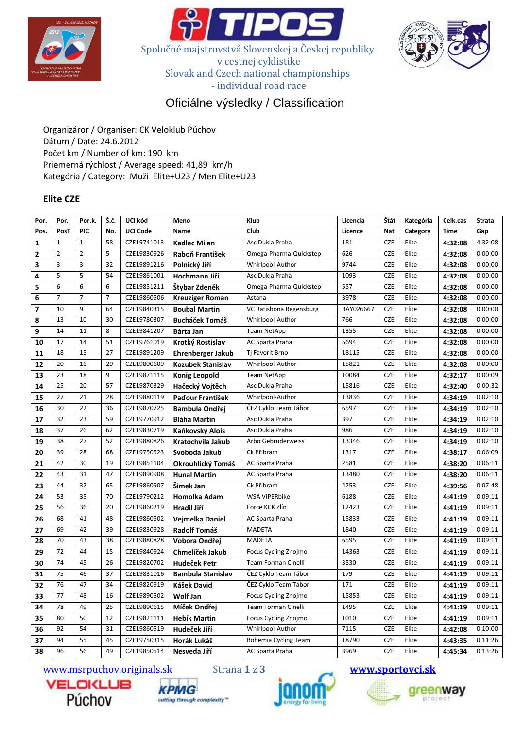





# Oficiálne výsledky / Classification

Organizáror / Organiser: CK Veloklub Púchov Dátum / Date: 24.6.2012 Počet km / Number of km: 190 km Priemerná rýchlost / Average speed: 41,89 km/h Kategória / Category: Muži Elite+U23 / Men Elite+U23

## Elite CZE

| Por.           | Por.           | Por.k.         | Š.č. | UCI kód         | Meno                     | Klub                       | Licencia  | Štát       | Kategória | Celk.cas    | <b>Strata</b> |
|----------------|----------------|----------------|------|-----------------|--------------------------|----------------------------|-----------|------------|-----------|-------------|---------------|
| Pos.           | PosT           | PIC            | No.  | <b>UCI Code</b> | <b>Name</b>              | Club                       | Licence   | Nat        | Category  | <b>Time</b> | Gap           |
| $\mathbf{1}$   | $\mathbf{1}$   | $\mathbf{1}$   | 58   | CZE19741013     | <b>Kadlec Milan</b>      | Asc Dukla Praha            | 181       | <b>CZE</b> | Elite     | 4:32:08     | 4:32:08       |
| $\overline{2}$ | $\overline{2}$ | $\overline{2}$ | 5    | CZE19830926     | Raboň František          | Omega-Pharma-Quickstep     | 626       | <b>CZE</b> | Elite     | 4:32:08     | 0:00:00       |
| 3              | 3              | 3              | 32   | CZE19891216     | Polnický Jiří            | Whirlpool-Author           | 9744      | <b>CZE</b> | Elite     | 4:32:08     | 0:00:00       |
| 4              | 5              | 5              | 54   | CZE19861001     | Hochmann Jiří            | Asc Dukla Praha            | 1093      | <b>CZE</b> | Elite     | 4:32:08     | 0:00:00       |
| 5              | 6              | 6              | 6    | CZE19851211     | Štybar Zdeněk            | Omega-Pharma-Quickstep     | 557       | <b>CZE</b> | Elite     | 4:32:08     | 0:00:00       |
| 6              | 7              | 7              | 7    | CZE19860506     | <b>Kreuziger Roman</b>   | Astana                     | 3978      | <b>CZE</b> | Elite     | 4:32:08     | 0:00:00       |
| $\overline{7}$ | 10             | 9              | 64   | CZE19840315     | <b>Boubal Martin</b>     | VC Ratisbona Regensburg    | BAY026667 | <b>CZE</b> | Elite     | 4:32:08     | 0:00:00       |
| 8              | 13             | 10             | 30   | CZE19780307     | <b>Bucháček Tomáš</b>    | Whirlpool-Author           | 766       | <b>CZE</b> | Elite     | 4:32:08     | 0:00:00       |
| 9              | 14             | 11             | 8    | CZE19841207     | Bárta Jan                | <b>Team NetApp</b>         | 1355      | <b>CZE</b> | Elite     | 4:32:08     | 0:00:00       |
| 10             | 17             | 14             | 51   | CZE19761019     | Krotký Rostislav         | AC Sparta Praha            | 5694      | <b>CZE</b> | Elite     | 4:32:08     | 0:00:00       |
| 11             | 18             | 15             | 27   | CZE19891209     | Ehrenberger Jakub        | Tj Favorit Brno            | 18115     | <b>CZE</b> | Elite     | 4:32:08     | 0:00:00       |
| 12             | 20             | 16             | 29   | CZE19800609     | <b>Kozubek Stanislav</b> | Whirlpool-Author           | 15821     | <b>CZE</b> | Elite     | 4:32:08     | 0:00:00       |
| 13             | 23             | 18             | 9    | CZE19871115     | <b>Konig Leopold</b>     | <b>Team NetApp</b>         | 10084     | <b>CZE</b> | Elite     | 4:32:17     | 0:00:09       |
| 14             | 25             | 20             | 57   | CZE19870329     | Hačecký Vojtěch          | Asc Dukla Praha            | 15816     | <b>CZE</b> | Elite     | 4:32:40     | 0:00:32       |
| 15             | 27             | 21             | 28   | CZE19880119     | Paďour František         | Whirlpool-Author           | 13836     | <b>CZE</b> | Elite     | 4:34:19     | 0:02:10       |
| 16             | 30             | 22             | 36   | CZE19870725     | <b>Bambula Ondřej</b>    | ČEZ Cyklo Team Tábor       | 6597      | <b>CZE</b> | Elite     | 4:34:19     | 0:02:10       |
| 17             | 32             | 23             | 59   | CZE19770912     | <b>Bláha Martin</b>      | Asc Dukla Praha            | 397       | <b>CZE</b> | Elite     | 4:34:19     | 0:02:10       |
| 18             | 37             | 26             | 62   | CZE19830719     | Kaňkovský Alois          | Asc Dukla Praha            | 986       | <b>CZE</b> | Elite     | 4:34:19     | 0:02:10       |
| 19             | 38             | 27             | 52   | CZE19880826     | Kratochvíla Jakub        | Arbo Gebruderweiss         | 13346     | <b>CZE</b> | Elite     | 4:34:19     | 0:02:10       |
| 20             | 39             | 28             | 68   | CZE19750523     | Svoboda Jakub            | Ck Příbram                 | 1317      | <b>CZE</b> | Elite     | 4:38:17     | 0:06:09       |
| 21             | 42             | 30             | 19   | CZE19851104     | Okrouhlický Tomáš        | AC Sparta Praha            | 2581      | <b>CZE</b> | Elite     | 4:38:20     | 0:06:11       |
| 22             | 43             | 31             | 47   | CZE19890908     | <b>Hunal Martin</b>      | AC Sparta Praha            | 13480     | <b>CZE</b> | Elite     | 4:38:20     | 0:06:11       |
| 23             | 44             | 32             | 65   | CZE19860907     | Šimek Jan                | Ck Příbram                 | 4253      | <b>CZE</b> | Elite     | 4:39:56     | 0:07:48       |
| 24             | 53             | 35             | 70   | CZE19790212     | Homolka Adam             | <b>WSA VIPERbike</b>       | 6188      | <b>CZE</b> | Elite     | 4:41:19     | 0:09:11       |
| 25             | 56             | 36             | 20   | CZE19860219     | Hradil Jiří              | Force KCK Zlín             | 12423     | <b>CZE</b> | Elite     | 4:41:19     | 0:09:11       |
| 26             | 68             | 41             | 48   | CZE19860502     | Vejmelka Daniel          | AC Sparta Praha            | 15833     | <b>CZE</b> | Elite     | 4:41:19     | 0:09:11       |
| 27             | 69             | 42             | 39   | CZE19830928     | <b>Radolf Tomáš</b>      | <b>MADETA</b>              | 1840      | <b>CZE</b> | Elite     | 4:41:19     | 0:09:11       |
| 28             | 70             | 43             | 38   | CZE19880828     | Vobora Ondřej            | <b>MADETA</b>              | 6595      | <b>CZE</b> | Elite     | 4:41:19     | 0:09:11       |
| 29             | 72             | 44             | 15   | CZE19840924     | Chmelíček Jakub          | Focus Cycling Znojmo       | 14363     | <b>CZE</b> | Elite     | 4:41:19     | 0:09:11       |
| 30             | 74             | 45             | 26   | CZE19820702     | Hudeček Petr             | <b>Team Forman Cinelli</b> | 3530      | <b>CZE</b> | Elite     | 4:41:19     | 0:09:11       |
| 31             | 75             | 46             | 37   | CZE19831016     | <b>Bambula Stanislav</b> | ČEZ Cyklo Team Tábor       | 179       | <b>CZE</b> | Elite     | 4:41:19     | 0:09:11       |
| 32             | 76             | 47             | 34   | CZE19820919     | Kášek David              | ČEZ Cyklo Team Tábor       | 171       | <b>CZE</b> | Elite     | 4:41:19     | 0:09:11       |
| 33             | 77             | 48             | 16   | CZE19890502     | <b>Wolf Jan</b>          | Focus Cycling Znojmo       | 15853     | <b>CZE</b> | Elite     | 4:41:19     | 0:09:11       |
| 34             | 78             | 49             | 25   | CZE19890615     | Míček Ondřei             | Team Forman Cinelli        | 1495      | <b>CZE</b> | Elite     | 4:41:19     | 0:09:11       |
| 35             | 80             | 50             | 12   | CZE19821111     | <b>Hebík Martin</b>      | Focus Cycling Znojmo       | 1010      | <b>CZE</b> | Elite     | 4:41:19     | 0:09:11       |
| 36             | 92             | 54             | 31   | CZE19860519     | Hudeček Jiří             | Whirlpool-Author           | 7115      | <b>CZE</b> | Elite     | 4:42:08     | 0:10:00       |
| 37             | 94             | 55             | 45   | CZE19750315     | Horák Lukáš              | Bohemia Cycling Team       | 18790     | <b>CZE</b> | Elite     | 4:43:35     | 0:11:26       |
| 38             | 96             | 56             | 49   | CZE19850514     | Nesveda Jiří             | AC Sparta Praha            | 3969      | <b>CZE</b> | Elite     | 4:45:34     | 0:13:26       |

www.msrpuchov.originals.sk Strana 1 z 3 www.sportovci.sk







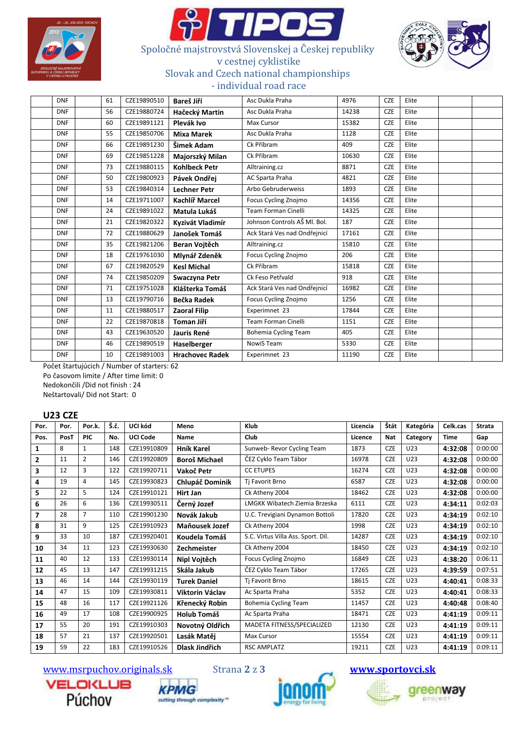





## Spoločné majstrovstvá Slovenskej a Českej republiky v cestnej cyklistike Slovak and Czech national championships - individual road race

| <b>DNF</b> | 61 | CZE19890510 | Bareš Jiří             | Asc Dukla Praha              | 4976  | <b>CZE</b> | Elite |  |
|------------|----|-------------|------------------------|------------------------------|-------|------------|-------|--|
| <b>DNF</b> | 56 | CZE19880724 | Hačecký Martin         | Asc Dukla Praha              | 14238 | <b>CZE</b> | Elite |  |
| <b>DNF</b> | 60 | CZE19891121 | Plevák Ivo             | Max Cursor                   | 15382 | <b>CZE</b> | Elite |  |
| <b>DNF</b> | 55 | CZE19850706 | <b>Mixa Marek</b>      | Asc Dukla Praha              | 1128  | <b>CZE</b> | Elite |  |
| <b>DNF</b> | 66 | CZE19891230 | Šimek Adam             | Ck Příbram                   | 409   | <b>CZE</b> | Elite |  |
| <b>DNF</b> | 69 | CZE19851228 | Majorszký Milan        | Ck Příbram                   | 10630 | <b>CZE</b> | Elite |  |
| <b>DNF</b> | 73 | CZE19880115 | <b>Kohlbeck Petr</b>   | Alltraining.cz               | 8871  | <b>CZE</b> | Elite |  |
| <b>DNF</b> | 50 | CZE19800923 | Pávek Ondřei           | AC Sparta Praha              | 4821  | <b>CZE</b> | Elite |  |
| <b>DNF</b> | 53 | CZE19840314 | <b>Lechner Petr</b>    | Arbo Gebruderweiss           | 1893  | <b>CZE</b> | Elite |  |
| <b>DNF</b> | 14 | CZE19711007 | Kachlíř Marcel         | Focus Cycling Znojmo         | 14356 | <b>CZE</b> | Elite |  |
| <b>DNF</b> | 24 | CZE19891022 | Matula Lukáš           | <b>Team Forman Cinelli</b>   | 14325 | <b>CZE</b> | Elite |  |
| <b>DNF</b> | 21 | CZE19820322 | Kyzivát Vladimír       | Johnson Controls AŠ MI. Bol. | 187   | CZE        | Elite |  |
| <b>DNF</b> | 72 | CZE19880629 | Janošek Tomáš          | Ack Stará Ves nad Ondřejnicí | 17161 | CZE        | Elite |  |
| <b>DNF</b> | 35 | CZE19821206 | Beran Voitěch          | Alltraining.cz               | 15810 | CZE        | Elite |  |
| <b>DNF</b> | 18 | CZE19761030 | Mlynář Zdeněk          | Focus Cycling Znojmo         | 206   | <b>CZE</b> | Elite |  |
| <b>DNF</b> | 67 | CZE19820529 | <b>Kesl Michal</b>     | Ck Příbram                   | 15818 | <b>CZE</b> | Elite |  |
| <b>DNF</b> | 74 | CZE19850209 | Swaczyna Petr          | Ck Feso Petřvald             | 918   | <b>CZE</b> | Elite |  |
| <b>DNF</b> | 71 | CZE19751028 | Klášterka Tomáš        | Ack Stará Ves nad Ondřejnicí | 16982 | CZE        | Elite |  |
| <b>DNF</b> | 13 | CZE19790716 | Bečka Radek            | Focus Cycling Znojmo         | 1256  | <b>CZE</b> | Elite |  |
| <b>DNF</b> | 11 | CZE19880517 | <b>Zaoral Filip</b>    | Experimnet 23                | 17844 | CZE        | Elite |  |
| <b>DNF</b> | 22 | CZE19870818 | Toman Jiří             | <b>Team Forman Cinelli</b>   | 1151  | <b>CZE</b> | Elite |  |
| <b>DNF</b> | 43 | CZE19630520 | Jauris René            | <b>Bohemia Cycling Team</b>  | 405   | <b>CZE</b> | Elite |  |
| <b>DNF</b> | 46 | CZE19890519 | Haselberger            | NowiS Team                   | 5330  | <b>CZE</b> | Elite |  |
| <b>DNF</b> | 10 | CZE19891003 | <b>Hrachovec Radek</b> | Experimnet 23                | 11190 | <b>CZE</b> | Elite |  |

Počet štartujúcich / Number of starters: 62 Po časovom limite / After time limit: 0 Nedokončili /Did not finish : 24 Neštartovali/ Did not Start: 0

#### U23 CZE

| Por.           | Por. | Por.k.         | Š.č. | UCI kód         | Meno                  | Klub                               | Licencia | Štát       | Kategória       | Celk.cas    | <b>Strata</b> |
|----------------|------|----------------|------|-----------------|-----------------------|------------------------------------|----------|------------|-----------------|-------------|---------------|
| Pos.           | PosT | <b>PIC</b>     | No.  | <b>UCI Code</b> | Name                  | Club                               | Licence  | <b>Nat</b> | Category        | <b>Time</b> | Gap           |
| 1              | 8    | 1              | 148  | CZE19910809     | <b>Hník Karel</b>     | Sunweb- Revor Cycling Team         | 1873     | <b>CZE</b> | U <sub>23</sub> | 4:32:08     | 0:00:00       |
| $\overline{2}$ | 11   | $\overline{2}$ | 146  | CZE19920809     | <b>Boroš Michael</b>  | ČEZ Cyklo Team Tábor               | 16978    | <b>CZE</b> | U <sub>23</sub> | 4:32:08     | 0:00:00       |
| 3              | 12   | 3              | 122  | CZE19920711     | Vakoč Petr            | <b>CC ETUPES</b>                   | 16274    | <b>CZE</b> | U23             | 4:32:08     | 0:00:00       |
| 4              | 19   | 4              | 145  | CZE19930823     | Chlupáč Dominik       | Ti Favorit Brno                    | 6587     | <b>CZE</b> | U23             | 4:32:08     | 0:00:00       |
| 5              | 22   | 5              | 124  | CZE19910121     | Hirt Jan              | Ck Atheny 2004                     | 18462    | <b>CZE</b> | U23             | 4:32:08     | 0:00:00       |
| 6              | 26   | 6              | 136  | CZE19930511     | Černý Jozef           | LMGKK Wibatech Ziemia Brzeska      | 6111     | <b>CZE</b> | U23             | 4:34:11     | 0:02:03       |
| 7              | 28   | $\overline{7}$ | 110  | CZE19901230     | Novák Jakub           | U.C. Trevigiani Dynamon Bottoli    | 17820    | <b>CZE</b> | U <sub>23</sub> | 4:34:19     | 0:02:10       |
| 8              | 31   | 9              | 125  | CZE19910923     | Maňousek Jozef        | Ck Atheny 2004                     | 1998     | <b>CZE</b> | U23             | 4:34:19     | 0:02:10       |
| 9              | 33   | 10             | 187  | CZE19920401     | Koudela Tomáš         | S.C. Virtus Villa Ass. Sport. Díl. | 14287    | <b>CZE</b> | U <sub>23</sub> | 4:34:19     | 0:02:10       |
| 10             | 34   | 11             | 123  | CZE19930630     | Zechmeister           | Ck Atheny 2004                     | 18450    | <b>CZE</b> | U23             | 4:34:19     | 0:02:10       |
| 11             | 40   | 12             | 133  | CZE19930114     | Nipl Vojtěch          | Focus Cycling Znojmo               | 16849    | <b>CZE</b> | U23             | 4:38:20     | 0:06:11       |
| 12             | 45   | 13             | 147  | CZE19931215     | Skála Jakub           | ČEZ Cyklo Team Tábor               | 17265    | <b>CZE</b> | U23             | 4:39:59     | 0:07:51       |
| 13             | 46   | 14             | 144  | CZE19930119     | <b>Turek Daniel</b>   | Ti Favorit Brno                    | 18615    | <b>CZE</b> | U23             | 4:40:41     | 0:08:33       |
| 14             | 47   | 15             | 109  | CZE19930811     | Viktorin Václav       | Ac Sparta Praha                    | 5352     | <b>CZE</b> | U23             | 4:40:41     | 0:08:33       |
| 15             | 48   | 16             | 117  | CZE19921126     | Křenecký Robin        | Bohemia Cycling Team               | 11457    | <b>CZE</b> | U23             | 4:40:48     | 0:08:40       |
| 16             | 49   | 17             | 108  | CZE19900925     | <b>Holub Tomáš</b>    | Ac Sparta Praha                    | 18471    | <b>CZE</b> | U <sub>23</sub> | 4:41:19     | 0:09:11       |
| 17             | 55   | 20             | 191  | CZE19910303     | Novotný Oldřich       | MADETA FITNESS/SPECIALIZED         | 12130    | <b>CZE</b> | U23             | 4:41:19     | 0:09:11       |
| 18             | 57   | 21             | 137  | CZE19920501     | Lasák Matěj           | <b>Max Cursor</b>                  | 15554    | <b>CZE</b> | U <sub>23</sub> | 4:41:19     | 0:09:11       |
| 19             | 59   | 22             | 183  | CZE19910526     | <b>Dlask Jindřich</b> | <b>RSC AMPLATZ</b>                 | 19211    | <b>CZE</b> | U23             | 4:41:19     | 0:09:11       |